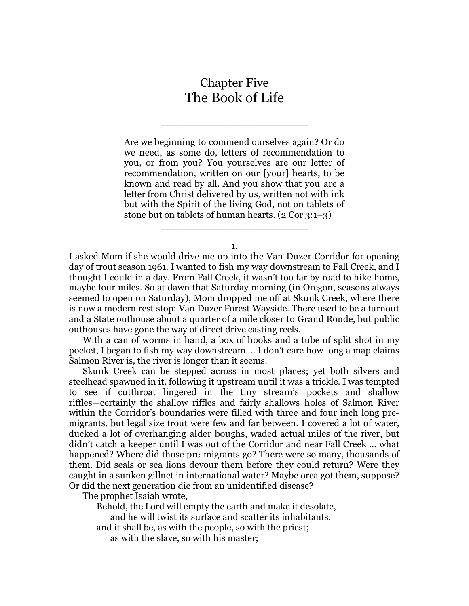## Chapter Five The Book of Life

\_\_\_\_\_\_\_\_\_\_\_\_\_\_\_\_\_\_\_\_\_\_\_\_\_

Are we beginning to commend ourselves again? Or do we need, as some do, letters of recommendation to you, or from you? You yourselves are our letter of recommendation, written on our [your] hearts, to be known and read by all. And you show that you are a letter from Christ delivered by us, written not with ink but with the Spirit of the living God, not on tablets of stone but on tablets of human hearts. (2 Cor 3:1–3)

1.

\_\_\_\_\_\_\_\_\_\_\_\_\_\_\_\_\_\_\_\_\_\_\_\_\_

I asked Mom if she would drive me up into the Van Duzer Corridor for opening day of trout season 1961. I wanted to fish my way downstream to Fall Creek, and I thought I could in a day. From Fall Creek, it wasn't too far by road to hike home, maybe four miles. So at dawn that Saturday morning (in Oregon, seasons always seemed to open on Saturday), Mom dropped me off at Skunk Creek, where there is now a modern rest stop: Van Duzer Forest Wayside. There used to be a turnout and a State outhouse about a quarter of a mile closer to Grand Ronde, but public outhouses have gone the way of direct drive casting reels.

With a can of worms in hand, a box of hooks and a tube of split shot in my pocket, I began to fish my way downstream … I don't care how long a map claims Salmon River is, the river is longer than it seems.

Skunk Creek can be stepped across in most places; yet both silvers and steelhead spawned in it, following it upstream until it was a trickle. I was tempted to see if cutthroat lingered in the tiny stream's pockets and shallow riffles—certainly the shallow riffles and fairly shallows holes of Salmon River within the Corridor's boundaries were filled with three and four inch long premigrants, but legal size trout were few and far between. I covered a lot of water, ducked a lot of overhanging alder boughs, waded actual miles of the river, but didn't catch a keeper until I was out of the Corridor and near Fall Creek … what happened? Where did those pre-migrants go? There were so many, thousands of them. Did seals or sea lions devour them before they could return? Were they caught in a sunken gillnet in international water? Maybe orca got them, suppose? Or did the next generation die from an unidentified disease?

The prophet Isaiah wrote,

Behold, the Lord will empty the earth and make it desolate,

and he will twist its surface and scatter its inhabitants.

and it shall be, as with the people, so with the priest;

as with the slave, so with his master;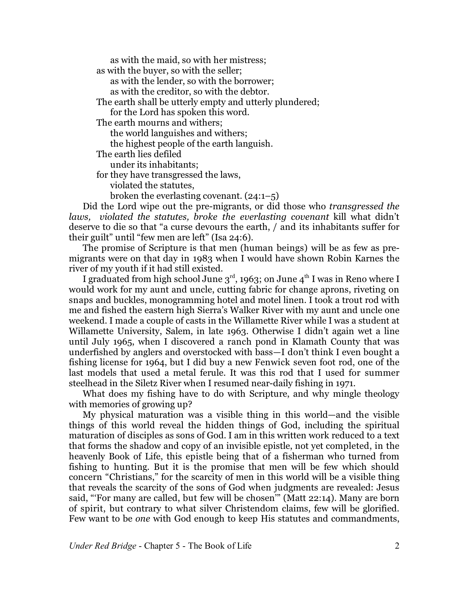as with the maid, so with her mistress; as with the buyer, so with the seller; as with the lender, so with the borrower; as with the creditor, so with the debtor. The earth shall be utterly empty and utterly plundered; for the Lord has spoken this word. The earth mourns and withers; the world languishes and withers; the highest people of the earth languish. The earth lies defiled under its inhabitants; for they have transgressed the laws, violated the statutes, broken the everlasting covenant.  $(24:1-5)$ 

Did the Lord wipe out the pre-migrants, or did those who *transgressed the laws, violated the statutes, broke the everlasting covenant* kill what didn't deserve to die so that "a curse devours the earth, / and its inhabitants suffer for their guilt" until "few men are left" (Isa 24:6).

The promise of Scripture is that men (human beings) will be as few as premigrants were on that day in 1983 when I would have shown Robin Karnes the river of my youth if it had still existed.

I graduated from high school June 3 $^{\rm rd}$ , 1963; on June 4 $^{\rm th}$  I was in Reno where I would work for my aunt and uncle, cutting fabric for change aprons, riveting on snaps and buckles, monogramming hotel and motel linen. I took a trout rod with me and fished the eastern high Sierra's Walker River with my aunt and uncle one weekend. I made a couple of casts in the Willamette River while I was a student at Willamette University, Salem, in late 1963. Otherwise I didn't again wet a line until July 1965, when I discovered a ranch pond in Klamath County that was underfished by anglers and overstocked with bass—I don't think I even bought a fishing license for 1964, but I did buy a new Fenwick seven foot rod, one of the last models that used a metal ferule. It was this rod that I used for summer steelhead in the Siletz River when I resumed near-daily fishing in 1971.

What does my fishing have to do with Scripture, and why mingle theology with memories of growing up?

My physical maturation was a visible thing in this world—and the visible things of this world reveal the hidden things of God, including the spiritual maturation of disciples as sons of God. I am in this written work reduced to a text that forms the shadow and copy of an invisible epistle, not yet completed, in the heavenly Book of Life, this epistle being that of a fisherman who turned from fishing to hunting. But it is the promise that men will be few which should concern "Christians," for the scarcity of men in this world will be a visible thing that reveals the scarcity of the sons of God when judgments are revealed: Jesus said, "'For many are called, but few will be chosen'" (Matt 22:14). Many are born of spirit, but contrary to what silver Christendom claims, few will be glorified. Few want to be *one* with God enough to keep His statutes and commandments,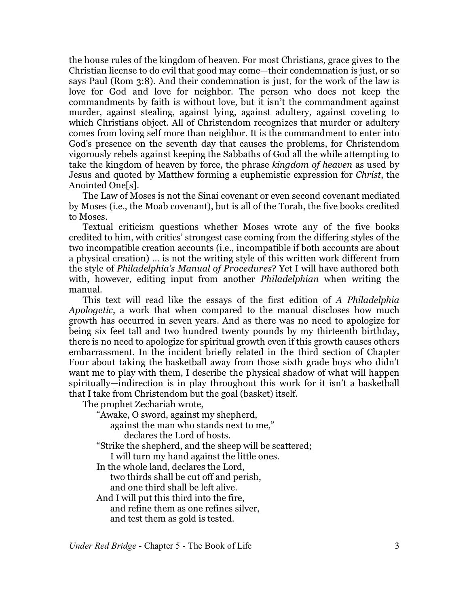the house rules of the kingdom of heaven. For most Christians, grace gives to the Christian license to do evil that good may come—their condemnation is just, or so says Paul (Rom 3:8). And their condemnation is just, for the work of the law is love for God and love for neighbor. The person who does not keep the commandments by faith is without love, but it isn't the commandment against murder, against stealing, against lying, against adultery, against coveting to which Christians object. All of Christendom recognizes that murder or adultery comes from loving self more than neighbor. It is the commandment to enter into God's presence on the seventh day that causes the problems, for Christendom vigorously rebels against keeping the Sabbaths of God all the while attempting to take the kingdom of heaven by force, the phrase *kingdom of heaven* as used by Jesus and quoted by Matthew forming a euphemistic expression for *Christ*, the Anointed One[s].

The Law of Moses is not the Sinai covenant or even second covenant mediated by Moses (i.e., the Moab covenant), but is all of the Torah, the five books credited to Moses.

Textual criticism questions whether Moses wrote any of the five books credited to him, with critics' strongest case coming from the differing styles of the two incompatible creation accounts (i.e., incompatible if both accounts are about a physical creation) … is not the writing style of this written work different from the style of *Philadelphia's Manual of Procedures*? Yet I will have authored both with, however, editing input from another *Philadelphian* when writing the manual.

This text will read like the essays of the first edition of *A Philadelphia Apologetic*, a work that when compared to the manual discloses how much growth has occurred in seven years. And as there was no need to apologize for being six feet tall and two hundred twenty pounds by my thirteenth birthday, there is no need to apologize for spiritual growth even if this growth causes others embarrassment. In the incident briefly related in the third section of Chapter Four about taking the basketball away from those sixth grade boys who didn't want me to play with them, I describe the physical shadow of what will happen spiritually—indirection is in play throughout this work for it isn't a basketball that I take from Christendom but the goal (basket) itself.

The prophet Zechariah wrote,

"Awake, O sword, against my shepherd,

against the man who stands next to me,"

declares the Lord of hosts.

"Strike the shepherd, and the sheep will be scattered;

I will turn my hand against the little ones.

In the whole land, declares the Lord,

two thirds shall be cut off and perish,

and one third shall be left alive.

And I will put this third into the fire, and refine them as one refines silver, and test them as gold is tested.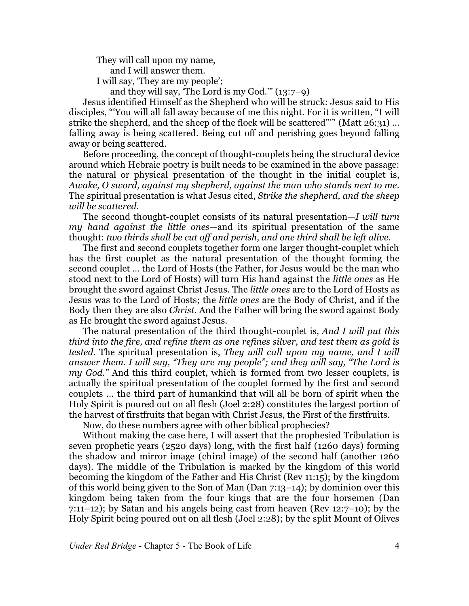They will call upon my name, and I will answer them. I will say, 'They are my people';

and they will say, 'The Lord is my God.'" (13:7–9)

Jesus identified Himself as the Shepherd who will be struck: Jesus said to His disciples, "'You will all fall away because of me this night. For it is written, "I will strike the shepherd, and the sheep of the flock will be scattered"" (Matt 26:31) ... falling away is being scattered. Being cut off and perishing goes beyond falling away or being scattered.

Before proceeding, the concept of thought-couplets being the structural device around which Hebraic poetry is built needs to be examined in the above passage: the natural or physical presentation of the thought in the initial couplet is, *Awake, O sword, against my shepherd, against the man who stands next to me*. The spiritual presentation is what Jesus cited, *Strike the shepherd, and the sheep will be scattered*.

The second thought-couplet consists of its natural presentation—*I will turn my hand against the little ones*—and its spiritual presentation of the same thought: *two thirds shall be cut off and perish, and one third shall be left alive.*

The first and second couplets together form one larger thought-couplet which has the first couplet as the natural presentation of the thought forming the second couplet … the Lord of Hosts (the Father, for Jesus would be the man who stood next to the Lord of Hosts) will turn His hand against the *little ones* as He brought the sword against Christ Jesus. The *little ones* are to the Lord of Hosts as Jesus was to the Lord of Hosts; the *little ones* are the Body of Christ, and if the Body then they are also *Christ*. And the Father will bring the sword against Body as He brought the sword against Jesus.

The natural presentation of the third thought-couplet is, *And I will put this third into the fire, and refine them as one refines silver, and test them as gold is tested.* The spiritual presentation is, *They will call upon my name, and I will answer them. I will say, "They are my people"; and they will say, "The Lord is my God."* And this third couplet, which is formed from two lesser couplets, is actually the spiritual presentation of the couplet formed by the first and second couplets … the third part of humankind that will all be born of spirit when the Holy Spirit is poured out on all flesh (Joel 2:28) constitutes the largest portion of the harvest of firstfruits that began with Christ Jesus, the First of the firstfruits.

Now, do these numbers agree with other biblical prophecies?

Without making the case here, I will assert that the prophesied Tribulation is seven prophetic years (2520 days) long, with the first half (1260 days) forming the shadow and mirror image (chiral image) of the second half (another 1260 days). The middle of the Tribulation is marked by the kingdom of this world becoming the kingdom of the Father and His Christ (Rev 11:15); by the kingdom of this world being given to the Son of Man (Dan 7:13–14); by dominion over this kingdom being taken from the four kings that are the four horsemen (Dan 7:11–12); by Satan and his angels being cast from heaven (Rev 12:7–10); by the Holy Spirit being poured out on all flesh (Joel 2:28); by the split Mount of Olives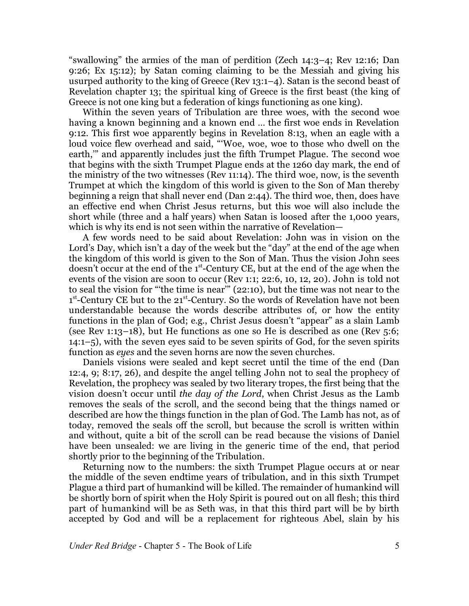"swallowing" the armies of the man of perdition (Zech 14:3–4; Rev 12:16; Dan 9:26; Ex 15:12); by Satan coming claiming to be the Messiah and giving his usurped authority to the king of Greece (Rev 13:1–4). Satan is the second beast of Revelation chapter 13; the spiritual king of Greece is the first beast (the king of Greece is not one king but a federation of kings functioning as one king).

Within the seven years of Tribulation are three woes, with the second woe having a known beginning and a known end … the first woe ends in Revelation 9:12. This first woe apparently begins in Revelation 8:13, when an eagle with a loud voice flew overhead and said, "Woe, woe, woe to those who dwell on the earth,'" and apparently includes just the fifth Trumpet Plague. The second woe that begins with the sixth Trumpet Plague ends at the 1260 day mark, the end of the ministry of the two witnesses (Rev 11:14). The third woe, now, is the seventh Trumpet at which the kingdom of this world is given to the Son of Man thereby beginning a reign that shall never end (Dan 2:44). The third woe, then, does have an effective end when Christ Jesus returns, but this woe will also include the short while (three and a half years) when Satan is loosed after the 1,000 years, which is why its end is not seen within the narrative of Revelation—

A few words need to be said about Revelation: John was in vision on the Lord's Day, which isn't a day of the week but the "day" at the end of the age when the kingdom of this world is given to the Son of Man. Thus the vision John sees doesn't occur at the end of the 1st-Century CE, but at the end of the age when the events of the vision are soon to occur (Rev 1:1; 22:6, 10, 12, 20). John is told not to seal the vision for "'the time is near'" (22:10), but the time was not near to the 1<sup>st</sup>-Century CE but to the 21<sup>st</sup>-Century. So the words of Revelation have not been understandable because the words describe attributes of, or how the entity functions in the plan of God; e.g., Christ Jesus doesn't "appear" as a slain Lamb (see Rev 1:13–18), but He functions as one so He is described as one (Rev  $5:6$ ; 14:1–5), with the seven eyes said to be seven spirits of God, for the seven spirits function as *eyes* and the seven horns are now the seven churches.

Daniels visions were sealed and kept secret until the time of the end (Dan 12:4, 9; 8:17, 26), and despite the angel telling John not to seal the prophecy of Revelation, the prophecy was sealed by two literary tropes, the first being that the vision doesn't occur until *the day of the Lord*, when Christ Jesus as the Lamb removes the seals of the scroll, and the second being that the things named or described are how the things function in the plan of God. The Lamb has not, as of today, removed the seals off the scroll, but because the scroll is written within and without, quite a bit of the scroll can be read because the visions of Daniel have been unsealed: we are living in the generic time of the end, that period shortly prior to the beginning of the Tribulation.

Returning now to the numbers: the sixth Trumpet Plague occurs at or near the middle of the seven endtime years of tribulation, and in this sixth Trumpet Plague a third part of humankind will be killed. The remainder of humankind will be shortly born of spirit when the Holy Spirit is poured out on all flesh; this third part of humankind will be as Seth was, in that this third part will be by birth accepted by God and will be a replacement for righteous Abel, slain by his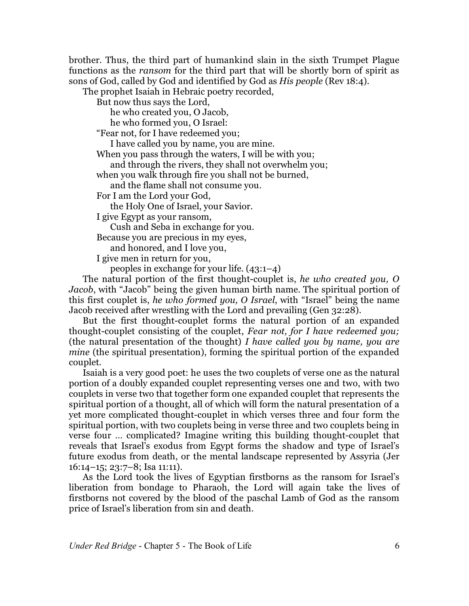brother. Thus, the third part of humankind slain in the sixth Trumpet Plague functions as the *ransom* for the third part that will be shortly born of spirit as sons of God, called by God and identified by God as *His people* (Rev 18:4).

The prophet Isaiah in Hebraic poetry recorded,

But now thus says the Lord,

he who created you, O Jacob,

he who formed you, O Israel:

"Fear not, for I have redeemed you;

I have called you by name, you are mine.

When you pass through the waters, I will be with you;

and through the rivers, they shall not overwhelm you;

when you walk through fire you shall not be burned,

and the flame shall not consume you.

For I am the Lord your God,

the Holy One of Israel, your Savior.

I give Egypt as your ransom,

Cush and Seba in exchange for you.

Because you are precious in my eyes,

and honored, and I love you,

I give men in return for you,

peoples in exchange for your life. (43:1–4)

The natural portion of the first thought-couplet is, *he who created you, O Jacob*, with "Jacob" being the given human birth name. The spiritual portion of this first couplet is, *he who formed you, O Israel*, with "Israel" being the name Jacob received after wrestling with the Lord and prevailing (Gen 32:28).

But the first thought-couplet forms the natural portion of an expanded thought-couplet consisting of the couplet, *Fear not, for I have redeemed you;* (the natural presentation of the thought) *I have called you by name, you are mine* (the spiritual presentation), forming the spiritual portion of the expanded couplet.

Isaiah is a very good poet: he uses the two couplets of verse one as the natural portion of a doubly expanded couplet representing verses one and two, with two couplets in verse two that together form one expanded couplet that represents the spiritual portion of a thought, all of which will form the natural presentation of a yet more complicated thought-couplet in which verses three and four form the spiritual portion, with two couplets being in verse three and two couplets being in verse four … complicated? Imagine writing this building thought-couplet that reveals that Israel's exodus from Egypt forms the shadow and type of Israel's future exodus from death, or the mental landscape represented by Assyria (Jer 16:14–15; 23:7–8; Isa 11:11).

As the Lord took the lives of Egyptian firstborns as the ransom for Israel's liberation from bondage to Pharaoh, the Lord will again take the lives of firstborns not covered by the blood of the paschal Lamb of God as the ransom price of Israel's liberation from sin and death.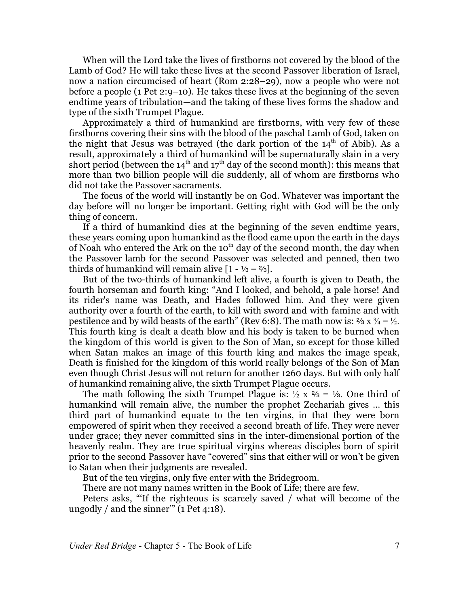When will the Lord take the lives of firstborns not covered by the blood of the Lamb of God? He will take these lives at the second Passover liberation of Israel, now a nation circumcised of heart (Rom 2:28–29), now a people who were not before a people (1 Pet 2:9–10). He takes these lives at the beginning of the seven endtime years of tribulation—and the taking of these lives forms the shadow and type of the sixth Trumpet Plague.

Approximately a third of humankind are firstborns, with very few of these firstborns covering their sins with the blood of the paschal Lamb of God, taken on the night that Jesus was betrayed (the dark portion of the  $14<sup>th</sup>$  of Abib). As a result, approximately a third of humankind will be supernaturally slain in a very short period (between the 14 $^{\rm th}$  and 17 $^{\rm th}$  day of the second month): this means that more than two billion people will die suddenly, all of whom are firstborns who did not take the Passover sacraments.

The focus of the world will instantly be on God. Whatever was important the day before will no longer be important. Getting right with God will be the only thing of concern.

If a third of humankind dies at the beginning of the seven endtime years, these years coming upon humankind as the flood came upon the earth in the days of Noah who entered the Ark on the 10 $^{\rm th}$  day of the second month, the day when the Passover lamb for the second Passover was selected and penned, then two thirds of humankind will remain alive  $[1 - \frac{1}{3} = \frac{2}{3}].$ 

But of the two-thirds of humankind left alive, a fourth is given to Death, the fourth horseman and fourth king: "And I looked, and behold, a pale horse! And its rider's name was Death, and Hades followed him. And they were given authority over a fourth of the earth, to kill with sword and with famine and with pestilence and by wild beasts of the earth" (Rev 6:8). The math now is:  $\frac{2}{3}$  x  $\frac{3}{4} = \frac{1}{2}$ . This fourth king is dealt a death blow and his body is taken to be burned when the kingdom of this world is given to the Son of Man, so except for those killed when Satan makes an image of this fourth king and makes the image speak, Death is finished for the kingdom of this world really belongs of the Son of Man even though Christ Jesus will not return for another 1260 days. But with only half of humankind remaining alive, the sixth Trumpet Plague occurs.

The math following the sixth Trumpet Plague is:  $\frac{1}{2} \times \frac{2}{3} = \frac{1}{3}$ . One third of humankind will remain alive, the number the prophet Zechariah gives … this third part of humankind equate to the ten virgins, in that they were born empowered of spirit when they received a second breath of life. They were never under grace; they never committed sins in the inter-dimensional portion of the heavenly realm. They are true spiritual virgins whereas disciples born of spirit prior to the second Passover have "covered" sins that either will or won't be given to Satan when their judgments are revealed.

But of the ten virgins, only five enter with the Bridegroom.

There are not many names written in the Book of Life; there are few.

Peters asks, "'If the righteous is scarcely saved / what will become of the ungodly / and the sinner"  $(1$  Pet 4:18).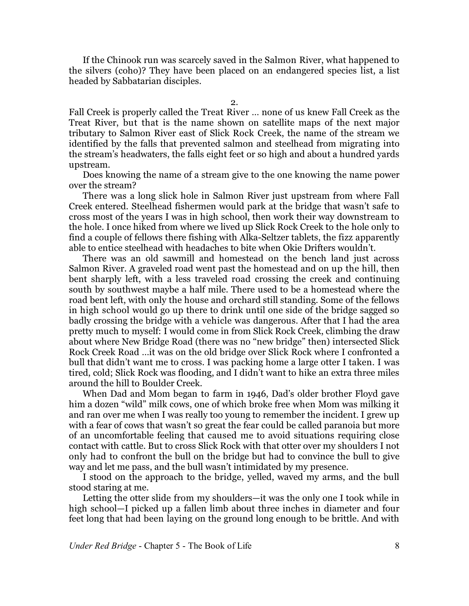If the Chinook run was scarcely saved in the Salmon River, what happened to the silvers (coho)? They have been placed on an endangered species list, a list headed by Sabbatarian disciples.

2.

Fall Creek is properly called the Treat River … none of us knew Fall Creek as the Treat River, but that is the name shown on satellite maps of the next major tributary to Salmon River east of Slick Rock Creek, the name of the stream we identified by the falls that prevented salmon and steelhead from migrating into the stream's headwaters, the falls eight feet or so high and about a hundred yards upstream.

Does knowing the name of a stream give to the one knowing the name power over the stream?

There was a long slick hole in Salmon River just upstream from where Fall Creek entered. Steelhead fishermen would park at the bridge that wasn't safe to cross most of the years I was in high school, then work their way downstream to the hole. I once hiked from where we lived up Slick Rock Creek to the hole only to find a couple of fellows there fishing with Alka-Seltzer tablets, the fizz apparently able to entice steelhead with headaches to bite when Okie Drifters wouldn't.

There was an old sawmill and homestead on the bench land just across Salmon River. A graveled road went past the homestead and on up the hill, then bent sharply left, with a less traveled road crossing the creek and continuing south by southwest maybe a half mile. There used to be a homestead where the road bent left, with only the house and orchard still standing. Some of the fellows in high school would go up there to drink until one side of the bridge sagged so badly crossing the bridge with a vehicle was dangerous. After that I had the area pretty much to myself: I would come in from Slick Rock Creek, climbing the draw about where New Bridge Road (there was no "new bridge" then) intersected Slick Rock Creek Road …it was on the old bridge over Slick Rock where I confronted a bull that didn't want me to cross. I was packing home a large otter I taken. I was tired, cold; Slick Rock was flooding, and I didn't want to hike an extra three miles around the hill to Boulder Creek.

When Dad and Mom began to farm in 1946, Dad's older brother Floyd gave him a dozen "wild" milk cows, one of which broke free when Mom was milking it and ran over me when I was really too young to remember the incident. I grew up with a fear of cows that wasn't so great the fear could be called paranoia but more of an uncomfortable feeling that caused me to avoid situations requiring close contact with cattle. But to cross Slick Rock with that otter over my shoulders I not only had to confront the bull on the bridge but had to convince the bull to give way and let me pass, and the bull wasn't intimidated by my presence.

I stood on the approach to the bridge, yelled, waved my arms, and the bull stood staring at me.

Letting the otter slide from my shoulders—it was the only one I took while in high school—I picked up a fallen limb about three inches in diameter and four feet long that had been laying on the ground long enough to be brittle. And with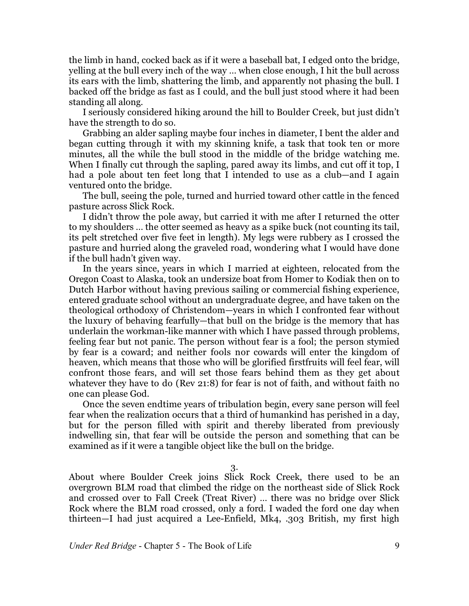the limb in hand, cocked back as if it were a baseball bat, I edged onto the bridge, yelling at the bull every inch of the way … when close enough, I hit the bull across its ears with the limb, shattering the limb, and apparently not phasing the bull. I backed off the bridge as fast as I could, and the bull just stood where it had been standing all along.

I seriously considered hiking around the hill to Boulder Creek, but just didn't have the strength to do so.

Grabbing an alder sapling maybe four inches in diameter, I bent the alder and began cutting through it with my skinning knife, a task that took ten or more minutes, all the while the bull stood in the middle of the bridge watching me. When I finally cut through the sapling, pared away its limbs, and cut off it top, I had a pole about ten feet long that I intended to use as a club—and I again ventured onto the bridge.

The bull, seeing the pole, turned and hurried toward other cattle in the fenced pasture across Slick Rock.

I didn't throw the pole away, but carried it with me after I returned the otter to my shoulders … the otter seemed as heavy as a spike buck (not counting its tail, its pelt stretched over five feet in length). My legs were rubbery as I crossed the pasture and hurried along the graveled road, wondering what I would have done if the bull hadn't given way.

In the years since, years in which I married at eighteen, relocated from the Oregon Coast to Alaska, took an undersize boat from Homer to Kodiak then on to Dutch Harbor without having previous sailing or commercial fishing experience, entered graduate school without an undergraduate degree, and have taken on the theological orthodoxy of Christendom—years in which I confronted fear without the luxury of behaving fearfully—that bull on the bridge is the memory that has underlain the workman-like manner with which I have passed through problems, feeling fear but not panic. The person without fear is a fool; the person stymied by fear is a coward; and neither fools nor cowards will enter the kingdom of heaven, which means that those who will be glorified firstfruits will feel fear, will confront those fears, and will set those fears behind them as they get about whatever they have to do (Rev 21:8) for fear is not of faith, and without faith no one can please God.

Once the seven endtime years of tribulation begin, every sane person will feel fear when the realization occurs that a third of humankind has perished in a day, but for the person filled with spirit and thereby liberated from previously indwelling sin, that fear will be outside the person and something that can be examined as if it were a tangible object like the bull on the bridge.

3.

About where Boulder Creek joins Slick Rock Creek, there used to be an overgrown BLM road that climbed the ridge on the northeast side of Slick Rock and crossed over to Fall Creek (Treat River) … there was no bridge over Slick Rock where the BLM road crossed, only a ford. I waded the ford one day when thirteen—I had just acquired a Lee-Enfield, Mk4, .303 British, my first high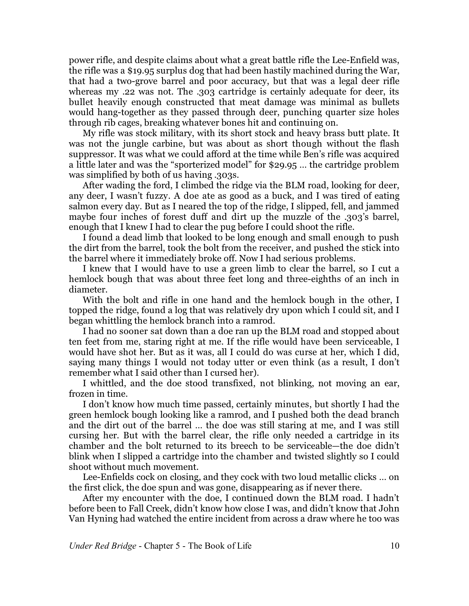power rifle, and despite claims about what a great battle rifle the Lee-Enfield was, the rifle was a \$19.95 surplus dog that had been hastily machined during the War, that had a two-grove barrel and poor accuracy, but that was a legal deer rifle whereas my .22 was not. The .303 cartridge is certainly adequate for deer, its bullet heavily enough constructed that meat damage was minimal as bullets would hang-together as they passed through deer, punching quarter size holes through rib cages, breaking whatever bones hit and continuing on.

My rifle was stock military, with its short stock and heavy brass butt plate. It was not the jungle carbine, but was about as short though without the flash suppressor. It was what we could afford at the time while Ben's rifle was acquired a little later and was the "sporterized model" for \$29.95 … the cartridge problem was simplified by both of us having .303s.

After wading the ford, I climbed the ridge via the BLM road, looking for deer, any deer, I wasn't fuzzy. A doe ate as good as a buck, and I was tired of eating salmon every day. But as I neared the top of the ridge, I slipped, fell, and jammed maybe four inches of forest duff and dirt up the muzzle of the .303's barrel, enough that I knew I had to clear the pug before I could shoot the rifle.

I found a dead limb that looked to be long enough and small enough to push the dirt from the barrel, took the bolt from the receiver, and pushed the stick into the barrel where it immediately broke off. Now I had serious problems.

I knew that I would have to use a green limb to clear the barrel, so I cut a hemlock bough that was about three feet long and three-eighths of an inch in diameter.

With the bolt and rifle in one hand and the hemlock bough in the other, I topped the ridge, found a log that was relatively dry upon which I could sit, and I began whittling the hemlock branch into a ramrod.

I had no sooner sat down than a doe ran up the BLM road and stopped about ten feet from me, staring right at me. If the rifle would have been serviceable, I would have shot her. But as it was, all I could do was curse at her, which I did, saying many things I would not today utter or even think (as a result, I don't remember what I said other than I cursed her).

I whittled, and the doe stood transfixed, not blinking, not moving an ear, frozen in time.

I don't know how much time passed, certainly minutes, but shortly I had the green hemlock bough looking like a ramrod, and I pushed both the dead branch and the dirt out of the barrel … the doe was still staring at me, and I was still cursing her. But with the barrel clear, the rifle only needed a cartridge in its chamber and the bolt returned to its breech to be serviceable—the doe didn't blink when I slipped a cartridge into the chamber and twisted slightly so I could shoot without much movement.

Lee-Enfields cock on closing, and they cock with two loud metallic clicks … on the first click, the doe spun and was gone, disappearing as if never there.

After my encounter with the doe, I continued down the BLM road. I hadn't before been to Fall Creek, didn't know how close I was, and didn't know that John Van Hyning had watched the entire incident from across a draw where he too was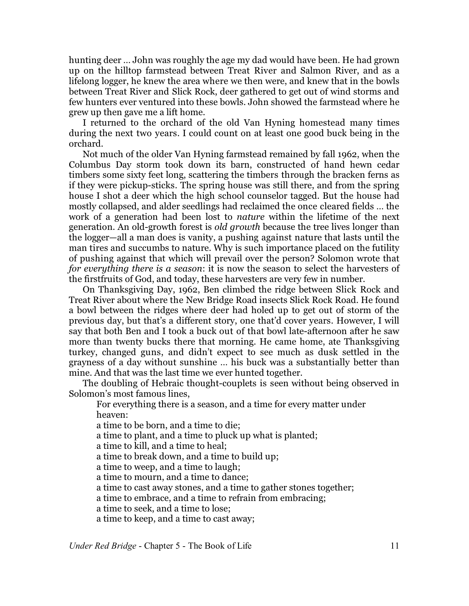hunting deer … John was roughly the age my dad would have been. He had grown up on the hilltop farmstead between Treat River and Salmon River, and as a lifelong logger, he knew the area where we then were, and knew that in the bowls between Treat River and Slick Rock, deer gathered to get out of wind storms and few hunters ever ventured into these bowls. John showed the farmstead where he grew up then gave me a lift home.

I returned to the orchard of the old Van Hyning homestead many times during the next two years. I could count on at least one good buck being in the orchard.

Not much of the older Van Hyning farmstead remained by fall 1962, when the Columbus Day storm took down its barn, constructed of hand hewn cedar timbers some sixty feet long, scattering the timbers through the bracken ferns as if they were pickup-sticks. The spring house was still there, and from the spring house I shot a deer which the high school counselor tagged. But the house had mostly collapsed, and alder seedlings had reclaimed the once cleared fields … the work of a generation had been lost to *nature* within the lifetime of the next generation. An old-growth forest is *old growth* because the tree lives longer than the logger—all a man does is vanity, a pushing against nature that lasts until the man tires and succumbs to nature. Why is such importance placed on the futility of pushing against that which will prevail over the person? Solomon wrote that *for everything there is a season*: it is now the season to select the harvesters of the firstfruits of God, and today, these harvesters are very few in number.

On Thanksgiving Day, 1962, Ben climbed the ridge between Slick Rock and Treat River about where the New Bridge Road insects Slick Rock Road. He found a bowl between the ridges where deer had holed up to get out of storm of the previous day, but that's a different story, one that'd cover years. However, I will say that both Ben and I took a buck out of that bowl late-afternoon after he saw more than twenty bucks there that morning. He came home, ate Thanksgiving turkey, changed guns, and didn't expect to see much as dusk settled in the grayness of a day without sunshine … his buck was a substantially better than mine. And that was the last time we ever hunted together.

The doubling of Hebraic thought-couplets is seen without being observed in Solomon's most famous lines,

For everything there is a season, and a time for every matter under heaven:

a time to be born, and a time to die;

a time to plant, and a time to pluck up what is planted;

a time to kill, and a time to heal;

a time to break down, and a time to build up;

a time to weep, and a time to laugh;

a time to mourn, and a time to dance;

a time to cast away stones, and a time to gather stones together;

a time to embrace, and a time to refrain from embracing;

a time to seek, and a time to lose;

a time to keep, and a time to cast away;